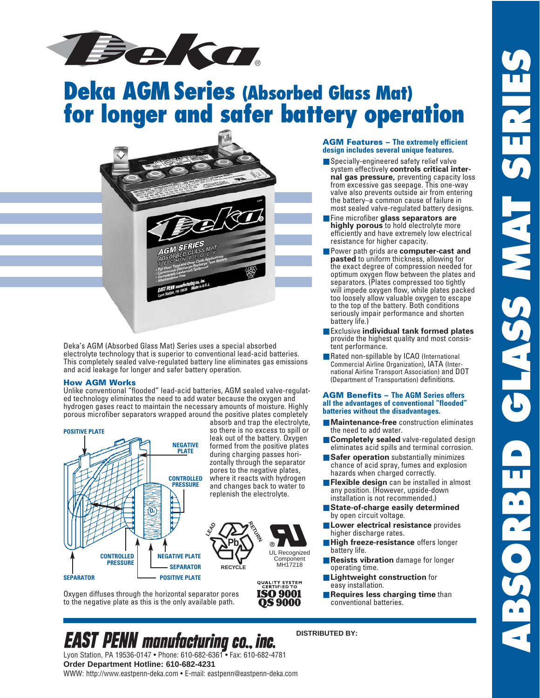

# **Deka AGM Series (Absorbed Glass Mat) for longer and safer battery operation**



Deka's AGM (Absorbed Glass Mat) Series uses a special absorbed electrolyte technology that is superior to conventional lead-acid batteries. This completely sealed valve-regulated battery line eliminates gas emissions and acid leakage for longer and safer battery operation.

#### **How AGM Works**

Unlike conventional "flooded" lead-acid batteries, AGM sealed valve-regulated technology eliminates the need to add water because the oxygen and hydrogen gases react to maintain the necessary amounts of moisture. Highly porous microfiber separators wrapped around the positive plates completely



absorb and trap the electrolyte, so there is no excess to spill or leak out of the battery. Oxygen formed from the positive plates during charging passes horizontally through the separator pores to the negative plates, where it reacts with hydrogen and changes back to water to replenish the electrolyte.



**QUALITY SYSTEM**<br>CERTIFIED TO **ISO 9001 OS 9000** 

Oxygen diffuses through the horizontal separator pores to the negative plate as this is the only available path.

## **AGM Features – The extremely efficient design includes several unique features.**

- Specially-engineered safety relief valve system effectively **controls critical internal gas pressure,** preventing capacity loss from excessive gas seepage. This one-way valve also prevents outside air from entering the battery–a common cause of failure in most sealed valve-regulated battery designs.
- Fine microfiber glass separators are **highly porous** to hold electrolyte more efficiently and have extremely low electrical resistance for higher capacity.
- Power path grids are **computer-cast and pasted** to uniform thickness, allowing for the exact degree of compression needed for optimum oxygen flow between the plates and separators. (Plates compressed too tightly will impede oxygen flow, while plates packed too loosely allow valuable oxygen to escape to the top of the battery. Both conditions seriously impair performance and shorten battery life.)
- Exclusive **individual tank formed plates** provide the highest quality and most consistent performance.
- Rated non-spillable by ICAO (International Commercial Airline Organization), IATA (International Airline Transport Association) and DOT (Department of Transportation) definitions.

#### **AGM Benefits – The AGM Series offers all the advantages of conventional "flooded" batteries without the disadvantages.**

- **Maintenance-free** construction eliminates the need to add water.
- **Completely sealed** valve-regulated design eliminates acid spills and terminal corrosion.
- **Safer operation** substantially minimizes chance of acid spray, fumes and explosion hazards when charged correctly.
- **Flexible design** can be installed in almost any position. (However, upside-down installation is not recommended.)
- **State-of-charge easily determined** by open circuit voltage.
- **Lower electrical resistance** provides higher discharge rates.
- **High freeze-resistance** offers longer battery life.
- **Resists vibration** damage for longer operating time.
- **Lightweight construction** for easy installation.
- **Requires less charging time** than conventional batteries.

## **DISTRIBUTED BY:**

**EAST PENN** manufacturing co., inc. Lyon Station, PA 19536-0147 • Phone: 610-682-6361 • Fax: 610-682-4781 **Order Department Hotline: 610-682-4231** WWW: http://www.eastpenn-deka.com • E-mail: eastpenn@eastpenn-deka.com